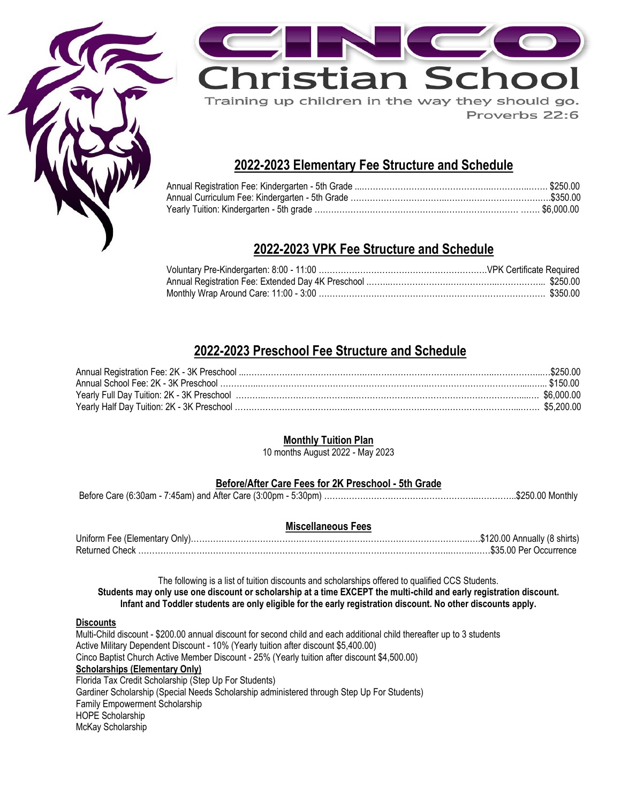



Proverbs 22:6

### **2022-2023 Elementary Fee Structure and Schedule**

## **2022-2023 VPK Fee Structure and Schedule**

### **2022-2023 Preschool Fee Structure and Schedule**

### **Monthly Tuition Plan**

10 months August 2022 - May 2023

### **Before/After Care Fees for 2K Preschool - 5th Grade**

Before Care (6:30am - 7:45am) and After Care (3:00pm - 5:30pm) ………………………………………………..…………..\$250.00 Monthly

#### **Miscellaneous Fees**

| Returned Check. |  |
|-----------------|--|

The following is a list of tuition discounts and scholarships offered to qualified CCS Students. **Students may only use one discount or scholarship at a time EXCEPT the multi-child and early registration discount. Infant and Toddler students are only eligible for the early registration discount. No other discounts apply.**

#### **Discounts**

Multi-Child discount - \$200.00 annual discount for second child and each additional child thereafter up to 3 students Active Military Dependent Discount - 10% (Yearly tuition after discount \$5,400.00) Cinco Baptist Church Active Member Discount - 25% (Yearly tuition after discount \$4,500.00) **Scholarships (Elementary Only)** Florida Tax Credit Scholarship (Step Up For Students) Gardiner Scholarship (Special Needs Scholarship administered through Step Up For Students) Family Empowerment Scholarship HOPE Scholarship McKay Scholarship